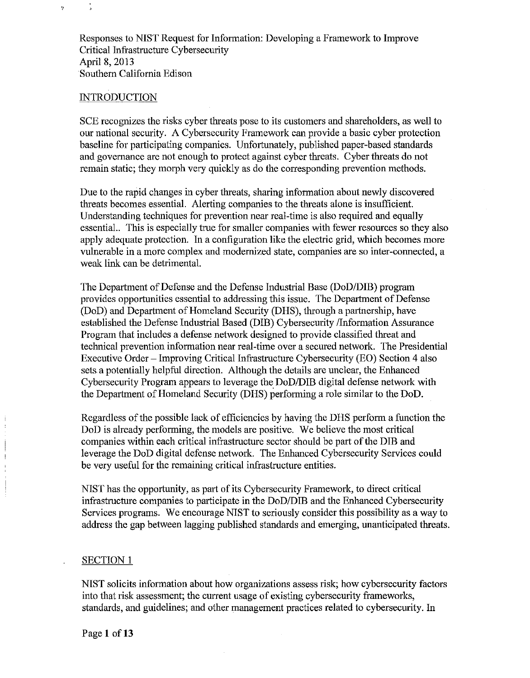Responses to NIST Request for Information: Developing a Framework to Improve Critical Infrastructure Cybersecurity April 8, 2013 Southem California Edison

### **INTRODUCTION**

ý,

SCE recognizes the risks cyber threats pose to its customers and shareholders, as well to our national security. A Cybersecurity Framework can provide a basic cyber protection baseline for participating companies. Unfortunately, published paper-based standards and governance are not enough to protect against cyber threats. Cyber threats do not remain static; they morph very quickly as do the corresponding prevention methods.

Due to the rapid changes in cyber threats, sharing information about newly discovered threats becomes essential. Alerting companies to the threats alone is insufficient. Understanding techniques for prevention near real-time is also required and equally essential.. This is especially true for smaller companies with fewer resomces so they also apply adequate protection. In a configuration like the electric grid, which becomes more vulnerable in a more complex and modernized state, companies are so inter-connected, a weak link can be detrimental.

The Department of Defense and the Defense Industrial Base (DoD/DIB) program provides opportunities essential to addressing this issue. The Department of Defense (DoD) and Department of Homeland Security (DHS), through a partnership, have established the Defense Industrial Based (DIB) Cybersecurity /Information Assurance Program that includes a defense network designed to provide classified threat and technical prevention information near real-time over a secured network. The Presidential Executive Order- Improving Critical Infrastructure Cybersecurity (EO) Section 4 also sets a potentially helpful direction. Although the details are unclear, the Enhanced Cybersecurity Program appears to leverage the DoD/DIB digital defense network with the Department of Homeland Security (DHS) performing a role similar to the DoD.

Regardless of the possible lack of efficiencies by having the DHS perform a function the DoD is already performing, the models are positive. We believe the most critical companies within each critical infrastructure sector should be part of the DIB and leverage the DoD digital defense network. The Enhanced Cybersecurity Services could be very useful for the remaining critical infrastructure entities.

NIST has the opportunity, as part of its Cybersecurity Framework, to direct critical infrastructure companies to participate in the DoD/DIB and the Enhanced Cybersecurity Services programs. We encourage NIST to seriously consider this possibility as a way to address the gap between lagging published standards and emerging, unanticipated threats.

#### SECTION l

NIST solicits information about how organizations assess risk; how cybersecurity factors into that risk assessment; the current usage of existing cybersecurity frameworks, standards, and guidelines; and other management practices related to cybersecurity. In

Page 1 of 13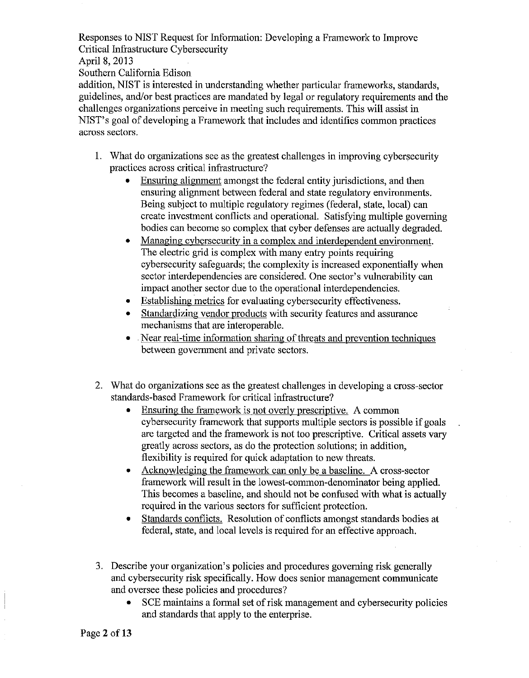April 8, 2013

Southern California Edison

addition, NIST is interested in understanding whether particular frameworks, standards, guidelines, and/or best practices are mandated by legal or regulatory requirements and the challenges organizations perceive in meeting such requirements. This will assist in NIST's goal of developing a Framework that includes and identifies common practices across sectors.

- 1. What do organizations see as the greatest challenges in improving cybersecurity practices across critical infrastmcture?
	- Ensuring alignment amongst the federal entity jurisdictions, and then ensuring alignment between federal and state regulatory environments. Being subject to multiple regulatory regimes (federal, state, local) can create investment conflicts and operational. Satisfying multiple governing bodies can become so complex that cyber defenses are actually degraded.
	- Managing cybersecurity in a complex and interdependent environment. The electric grid is complex with many entry points requiring cybersecurity safeguards; the complexity is increased exponentially when sector interdependencies are considered. One sector's vulnerability can impact another sector due to the operational interdependencies.
	- Establishing metrics for evaluating cybersecurity effectiveness.
	- Standardizing vendor products with security features and assurance mechanisms that are interoperable.
	- Near real-time information sharing of threats and prevention techniques between government and private sectors.
- 2. What do organizations see as the greatest challenges in developing a cross-sector standards-based Framework for critical infrastructure?
	- Ensuring the framework is not overly prescriptive. A common cybersecurity framework that supports multiple sectors is possible if goals are targeted and the framework is not too prescriptive. Critical assets vary greatly across sectors, as do the protection solutions; in addition, flexibility is required for quick adaptation to new threats.
	- Acknowledging the framework can only be a baseline. A cross-sector framework will result in the lowest-common-denominator being applied. This becomes a baseline, and should not be confused with what is actually required in the various sectors for sufficient protection.
	- Standards conflicts. Resolution of conflicts amongst standards bodies at federal, state, and local levels is required for an effective approach.
- 3. Describe your organization's policies and procedures governing risk generally and cybersecurity risk specifically. How does senior management communicate and oversee these policies and procedures?
	- SCE maintains a formal set of risk management and cybersecurity policies and standards that apply to the enterprise.

Page 2 of 13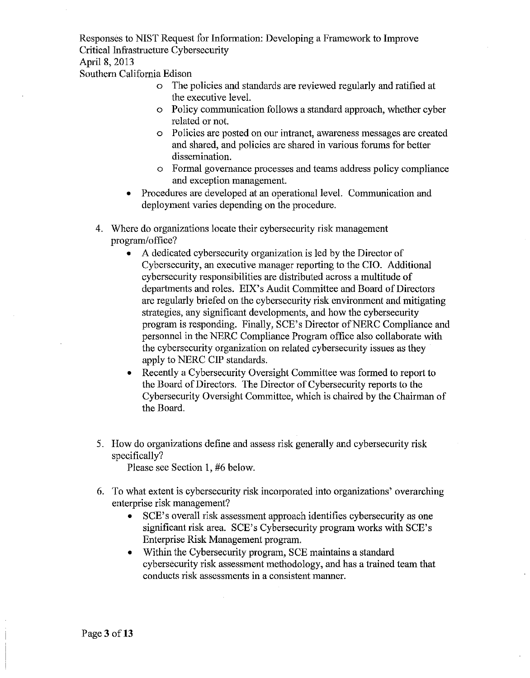April 8, 2013

Southern California Edison

- o The policies and standards are reviewed regularly and ratified at the executive level.
- o Policy communication follows a standard approach, whether cyber related or not.
- o Policies are posted on our intranet, awareness messages are created and shared, and policies are shared in various forums for better dissemination.
- o Formal govemance processes and teams address policy compliance and exception management.
- Procedures are developed at an operational level. Communication and deployment varies depending on the procedure.
- 4. Where do organizations locate their cybersecurity risk management program/office?
	- A dedicated cybersecurity organization is led by the Director of Cybersecurity, an executive manager reporting to the CIO. Additional cybersecurity responsibilities are distributed across a multitude of departments and roles. EIX's Audit Committee and Board of Directors are regularly briefed on the cybersecurity risk environment and mitigating strategies, any significant developments, and how the cybersecurity program is responding. Finally, SCE's Director of NERC Compliance and personnel in the NERC Compliance Program office also collaborate with the cybersecurity organization on related cybersecurity issues as they apply to NERC CIP standards.
	- Recently a Cybersecurity Oversight Committee was formed to report to the Board of Directors. The Director of Cybersecurity reports to the Cybersecurity Oversight Committee, which is chaired by the Chairman of the Board.
- 5. How do organizations define and assess risk generally and cybersecurity risk specifically?

Please see Section 1, #6 below.

- 6. To what extent is cybersecurity risk incorporated into organizations' overarching enterprise risk management?
	- SCE's overall risk assessment approach identifies cybersecurity as one significant risk area. SCE's Cybersecurity program works with SCE's Enterprise Risk Management program.
	- Within the Cybersecurity program, SCE maintains a standard cybersecurity risk assessment methodology, and has a trained team that conducts risk assessments in a consistent manner.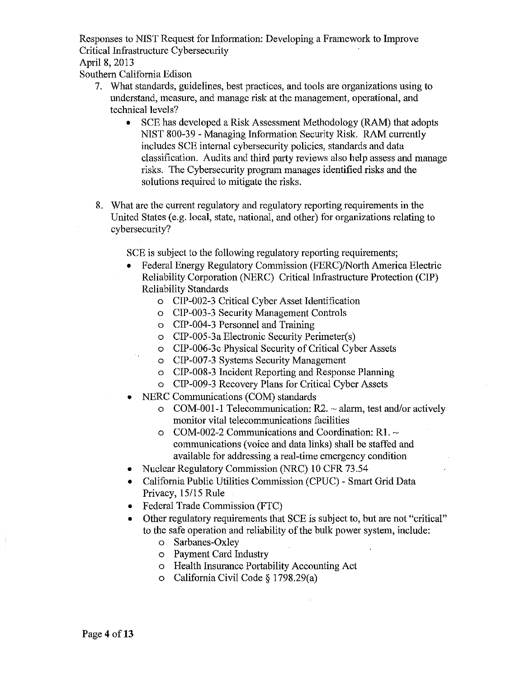April 8, 2013

Southern California Edison

- 7. What standards, guidelines, best practices, and tools are organizations using to understand, measure, and manage risk at the management, operational, and technical levels?
	- SCE has developed a Risk Assessment Methodology (RAM) that adopts NIST 800-39- Managing Information Security Risk. RAM currently includes SCE internal cybersecurity policies, standards and data classification. Audits and third party reviews also help assess and manage risks. The Cybersecurity program manages identified risks and the solutions required to mitigate the risks.
- 8. What are the current regulatory and regulatory reporting requirements in the United States (e.g. local, state, national, and other) for organizations relating to cybersecurity?

SCE is subject to the following regulatory reporting requirements;

- Federal Energy Regulatory Commission (FERC)/North America Electric Reliability Corporation (NERC) Critical Infrastructure Protection (CIP) Reliability Standards
	- o CIP-002-3 Critical Cyber Asset Identification
	- o CIP-003-3 Security Management Controls
	- o CIP-004-3 Personnel and Training
	- o CIP-005-3a Electronic Security Perimeter(s)
	- o CIP-006-3c Physical Security of Critical Cyber Assets
	- o CIP-007-3 Systems Security Management
	- o CIP-008-3 Incident Reporting and Response Planning
	- o CIP-009-3 Recovery Plans for Critical Cyber Assets
- NERC Communications (COM) standards
	- $\circ$  COM-001-1 Telecommunication: R2.  $\sim$  alarm, test and/or actively monitor vital telecommunications facilities
	- $\circ$  COM-002-2 Communications and Coordination: R1.  $\sim$ communications (voice and data links) shall be staffed and available for addressing a real-time emergency condition
- Nuclear Regulatory Commission (NRC) 10 CFR 73.54
- California Public Utilities Commission (CPUC) Smart Grid Data Privacy, 15/15 Rule
- Federal Trade Commission (FTC)
- Other regulatory requirements that SCE is subject to, but are not "critical" to the safe operation and reliability of the bulk power system, include:
	- o Sarbanes-Oxley
	- o Payment Card Industry
	- o Health Insurance Portability Accounting Act
	- o California Civil Code§ 1798.29(a)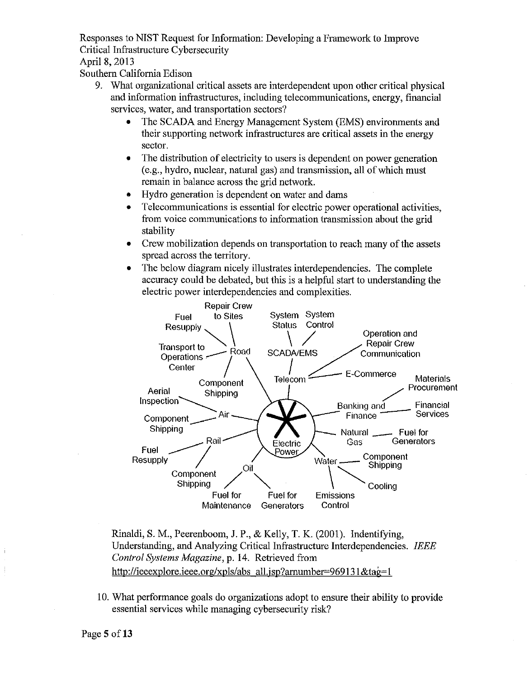April 8, 2013

Southern California Edison

- 9. What organizational critical assets are interdependent upon other critical physical and information infrastructures, including telecommunications, energy, financial services, water, and transportation sectors?
	- The SCADA and Energy Management System (EMS) environments and their supporting network infrastructures are critical assets in the energy sector.
	- The distribution of electricity to users is dependent on power generation  $(e.g., hydro, nuclear, natural gas)$  and transmission, all of which must remain in balance across the grid network.
	- Hydro generation is dependent on water and dams
	- Telecommunications is essential for electric power operational activities, from voice communications to information transmission about the grid stability
	- Crew mobilization depends on transportation to reach many of the assets spread across the territory.
	- The below diagram nicely illustrates interdependencies. The complete accuracy could be debated, but this is a helpful start to understanding the electric power interdependencies and complexities.



Rinaldi, S.M., Peerenboom, J.P., & Kelly, T. K. (2001). Indentifying, Understanding, and Analyzing Critical Infrastructure Interdependencies. *IEEE Control Systems Magazine,* p. 14. Retrieved from http://ieeexplore.ieee.org/xpls/abs all.jsp?arnumber=969131&tag=1

I0. What performance goals do organizations adopt to ensure their ability to provide essential services while managing cybersecurity risk?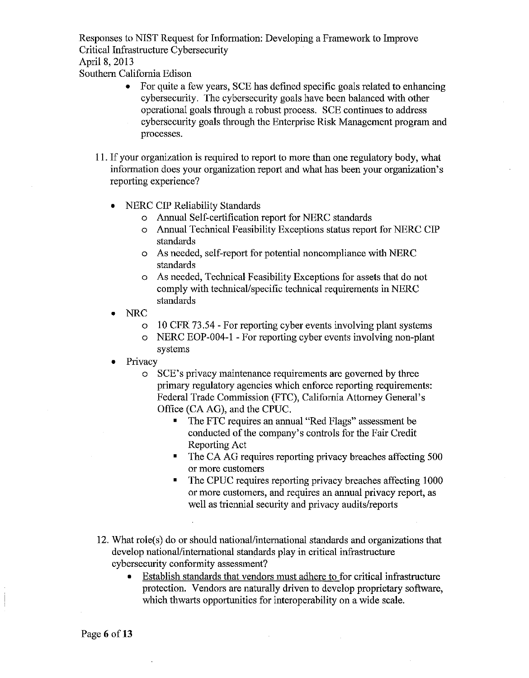April 8, 2013

Southern California Edison

- For quite a few years, SCE has defined specific goals related to enhancing cybersecmity. The cybersecurity goals have been balanced with other operational goals through a robust process. SCE continues to address cybersecurity goals through the Enterprise Risk Management program and processes.
- 11. If your organization is required to report to more than one regulatory body, what information does your organization report and what has been your organization's reporting experience?
	- NERC CIP Reliability Standards
		- o Annual Self-certification report for NERC standards
		- o Annual Technical Feasibility Exceptions status report for NERC CIP standards
		- o As needed, self-report for potential noncompliance with NERC standards
		- o As needed, Technical Feasibility Exceptions for assets that do not comply with technical/specific technical requirements in NERC standards
	- NRC
		- o 10 CFR 73.54 For reporting cyber events involving plant systems
		- o NERC EOP-004-1 -For reporting cyber events involving non-plant systems
	- Privacy
		- o SCE's privacy maintenance requirements are governed by three primary regulatory agencies which enforce reporting requirements: Federal Trade Commission (FTC), California Attorney General's Office (CA AG), and the CPUC.
			- The FTC requires an annual "Red Flags" assessment be conducted of the company's controls for the Fair Credit Reporting Act
			- The CA AG requires reporting privacy breaches affecting 500 or more customers
			- The CPUC requires reporting privacy breaches affecting 1000 or more customers, and requires an annual privacy report, as well as triennial security and privacy audits/reports
- 12. What role(s) do or should national/international standards and organizations that develop national/international standards play in critical infrastructure cybersecurity conformity assessment?
	- Establish standards that vendors must adhere to for critical infrastructure protection. Vendors are natmally driven to develop proprietary software, which thwarts opportunities for interoperability on a wide scale.

Page 6 of 13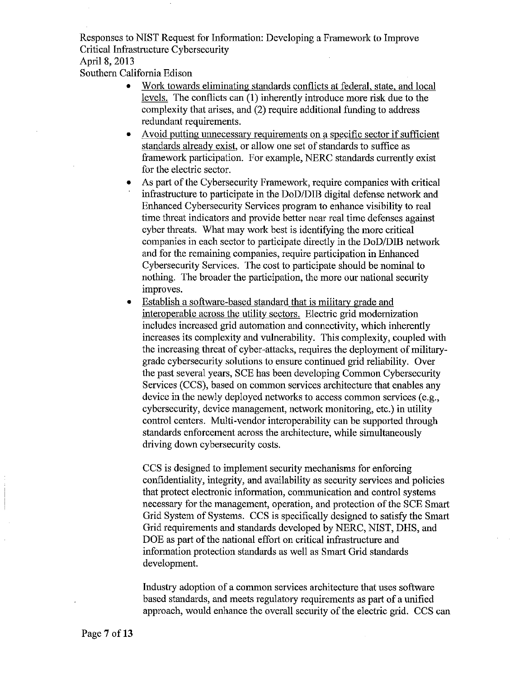April 8, 2013

Southern California Edison

- Work towards eliminating standards conflicts at federal, state, and local levels. The conflicts can (1) inherently introduce more risk due to the complexity that arises, and (2) require additional funding to address redundant requirements.
- Avoid putting unnecessary requirements on a specific sector if sufficient standards already exist, or allow one set of standards to suffice as framework participation. For example, NERC standards currently exist for the electric sector.
- As part of the Cybersecurity Framework, require companies with critical infrastructure to participate in the DoD/DIB digital defense network and Enhanced Cybersecurity Services program to enhance visibility to real time threat indicators and provide better near real time defenses against cyber threats. What may work best is identifying the more critical companies in each sector to participate directly in the DoD/DIB network and for the remaining companies, require participation in Enhanced Cybersecurity Services. The cost to participate should be nominal to nothing. The broader the participation, the more our national security improves.
- Establish a software-based standard that is military grade and interoperable across the utilitv sectors. Electric grid modernization includes increased grid automation and connectivity, which inherently increases its complexity and vulnerability. This complexity, coupled with the increasing threat of cyber-attacks, requires the deployment of militarygrade cybersecurity solutions to ensure continued grid reliability. Over the past several years, SCE has been developing Common Cybersecurity Services (CCS), based on common services architecture that enables any device in the newly deployed networks to access common services (e.g., cybersecurity, device management, network monitoring, etc.) in utility control centers. Multi-vendor interoperability can be supported through standards enforcement across the architecture, while simultaneously driving down cybersecurity costs.

CCS is designed to implement security mechanisms for enforcing confidentiality, integrity, and availability as security services and policies that protect electronic information, conununication and control systems necessary for the management, operation, and protection of the SCE Smart Grid System of Systems. CCS is specifically designed to satisfy the Smart Grid requirements and standards developed by NERC, NIST, DHS, and DOE as part of the national effort on critical infrastructure and information protection standards as well as Smart Grid standards development.

Industry adoption of a common services architecture that uses software based standards, and meets regulatory requirements as part of a unified approach, would enhance the overall security of the electric grid. CCS can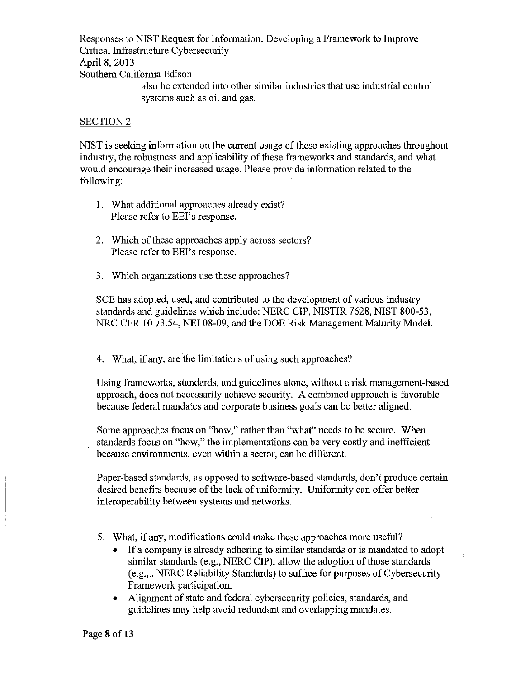Responses to NIST Request for Information: Developing a Framework to Improve Critical Infrastructure Cybersecurity April 8, 2013 Southern California Edison also be extended into other similar industries that use industrial control systems such as oil and gas.

### SECTION<sub>2</sub>

NIST is seeking information on the current usage of these existing approaches throughout industry, the robustness and applicability of these frameworks and standards, and what would encourage their increased usage. Please provide information related to the following:

- 1. What additional approaches already exist? Please refer to EEl's response.
- 2. Which of these approaches apply across sectors? Please refer to EEl's response.
- 3. Which organizations use these approaches?

SCE has adopted, used, and contributed to the development of various industry standards and guidelines which include: NERC CIP, NISTIR 7628, NIST 800-53, NRC CFR 10 73.54, NEI 08-09, and the DOE Risk Management Maturity Model.

4. What, if any, are the limitations of using such approaches?

Using frameworks, standards, and guidelines alone, without a risk management-based approach, does not necessarily achieve security. A combined approach is favorable because federal mandates and corporate business goals can be better aligned.

Some approaches focus on "how," rather than "what" needs to be secure. When standards focus on "how," the implementations can be very costly and inefficient because environments, even within a sector, can be different.

Paper-based standards, as opposed to software-based standards, don't produce certain desired benefits because of the lack of uniformity. Uniformity can offer better interoperability between systems and networks.

- 5. What, if any, modifications could make these approaches more useful?
	- If a company is already adhering to similar standards or is mandated to adopt similar standards (e.g., NERC CIP), allow the adoption of those standards (e.g.,., NERC Reliability Standards) to suffice for purposes of Cybersecurity Framework participation.

 $\ddot{\cdot}$ 

Alignment of state and federal cybersecurity policies, standards, and guidelines may help avoid redundant and overlapping mandates.

Page 8 of 13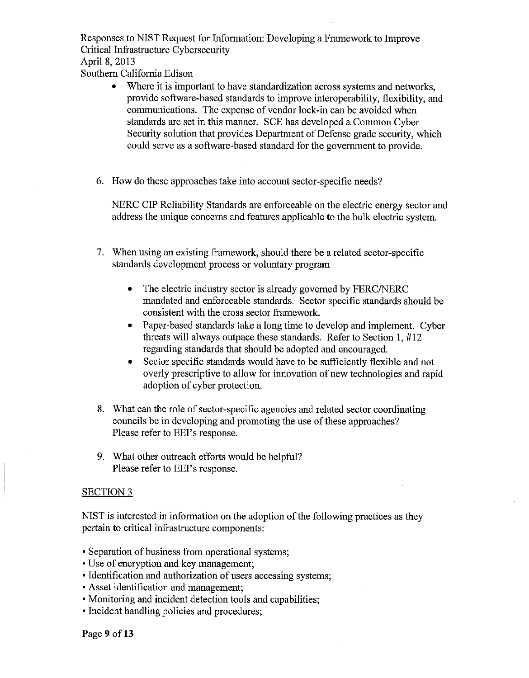April 8, 2013

Southern California Edison

- Where it is important to have standardization across systems and networks, provide software-based standards to improve interoperability, flexibility, and communications. The expense of vendor lock-in can be avoided when standards are set in this manner. SCE has developed a Common Cyber Security solution that provides Department of Defense grade security, which could serve as a software-based standard for the govermnent to provide.
- 6. How do these approaches take into account sector-specific needs?

NERC CIP Reliability Standards are enforceable on the electric energy sector and address the unique concerns and features applicable to the bulk electric system.

- 7. When using an existing framework, should there be a related sector-specific standards development process or voluntary program
	- The electric industry sector is already governed by FERC/NERC mandated and enforceable standards. Sector specific standards should be consistent with the cross sector framework.
	- Paper-based standards take a long time to develop and implement. Cyber threats will always outpace these standards. Refer to Section 1, #12 regarding standards that should be adopted and encouraged.
	- Sector specific standards would have to be sufficiently flexible and not overly prescriptive to allow for innovation of new technologies and rapid adoption of cyber protection.
- 8. What can the role of sector-specific agencies and related sector coordinating councils be in developing and promoting the use of these approaches? Please refer to EEl's response.
- 9. What other outreach efforts would be helpful? Please refer to EEl's response.

## SECTION<sub>3</sub>

NIST is interested in information on the adoption of the following practices as they pertain to critical infrastructure components:

- Separation of business from operational systems;
- Use of encryption and key management;
- Identification and authorization of users accessing systems;
- Asset identification and management;
- Monitoring and incident detection tools and capabilities;
- Incident handling policies and procedures;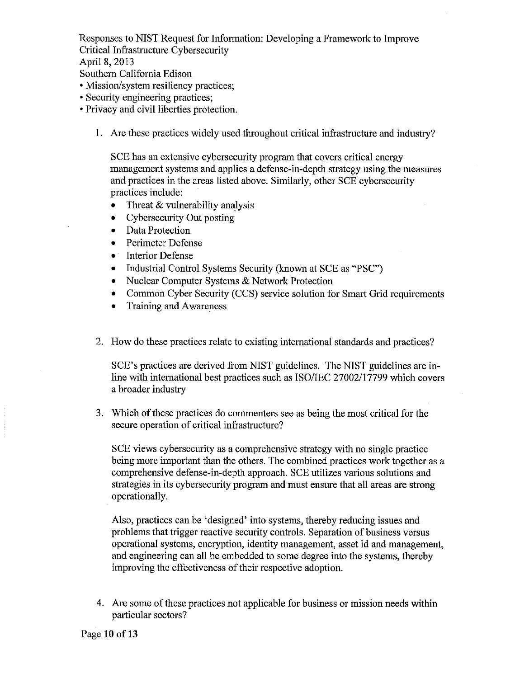# April 8, 2013

Southern California Edison

- Mission/system resiliency practices;
- Security engineering practices;
- Privacy and civil liberties protection.
	- I. Are these practices widely used throughout critical infrastructure and industry?

SCE has an extensive cybersecurity program that covers critical energy management systems and applies a defense-in-depth strategy using the measures and practices in the areas listed above. Similarly, other SCE cybersecurity practices include:

- Threat  $&$  vulnerability analysis
- Cybersecurity Out posting
- Data Protection
- Perimeter Defense
- Interior Defense
- Industrial Control Systems Security (known at SCE as "PSC")
- Nuclear Computer Systems & Network Protection
- Common Cyber Security (CCS) service solution for Smart Grid requirements
- Training and Awareness
- 2. How do these practices relate to existing international standards and practices?

SCE's practices are derived from NIST guidelines. The NIST guidelines are inline with international best practices such as ISO/IEC 27002/17799 which covers a broader industry

3. Which of these practices do commenters see as being the most critical for the secure operation of critical infrastructure?

SCE views cybersecurity as a comprehensive strategy with no single practice being more important than the others. The combined practices work together as a comprehensive defense-in-depth approach. SCE utilizes various solutions and strategies in its cybersecurity program and must ensure that all areas are strong operationally.

Also, practices can be 'designed' into systems, thereby reducing issues and problems that trigger reactive security controls. Separation of business versus operational systems, encryption, identity management, asset id and management, and engineering can all be embedded to some degree into the systems, thereby improving the effectiveness of their respective adoption.

4. Are some of these practices not applicable for business or mission needs within particular sectors?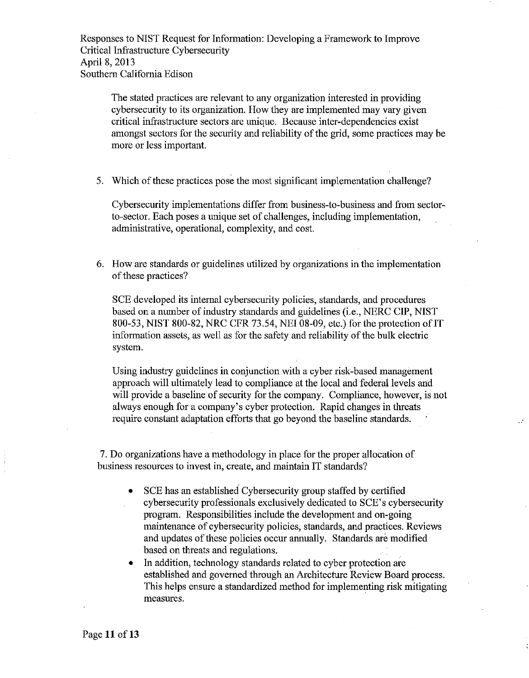Responses to NIST Request for Information: Developing a Framework to Improve Critical Infrastructure Cybersecurity April 8, 2013 Southern California Edison

The stated practices are relevant to any organization interested in providing cybersecurity to its organization. How they are implemented may vary given critical infrastructure sectors are unique. Because inter-dependencies exist amongst sectors for the security and reliability of the grid, some practices may be more or less important.

5. Which of these practices pose the most significant implementation challenge?

Cybersecurity implementations differ from business-to-business and from sectorto-sector. Each poses a unique set of challenges, including implementation, administrative, operational, complexity, and cost.

6. How are standards or guidelines utilized by organizations in the implementation of these practices?

SCE developed its internal cybersecurity policies, standards, and procedures based on a number of industry standards and guidelines (i.e., NERC CIP, NIST 800-53, NIST 800-82, NRC CFR 73.54, NEI 08-09, etc.) for the protection of IT information assets, as well as for the safety and reliability of the bulk electric system.

Using industry guidelines in conjunction with a cyber risk-based management approach will ultimately lead to compliance at the local and federal levels and will provide a baseline of security for the company. Compliance, however, is not always enough for a company's cyber protection. Rapid changes in threats require constant adaptation efforts that go beyond the baseline standards.

 $\mathcal{L}$ 

7. Do organizations have a methodology in place for the proper allocation of business resources to invest in, create, and maintain IT standards?

- SCE has an established Cybersecurity group staffed by certified cybersecurity professionals exclusively dedicated to SCE's cybersecurity program. Responsibilities include the development and on-going maintenance of cybersecurity policies, standards, and practices. Reviews and updates of these policies occur annually. Standards are modified based on threats and regulations.
- In addition, technology standards related to cyber protection are established and governed through an Architecture Review Board process. This helps ensure a standardized method for implementing risk mitigating measures.

Page 11 of 13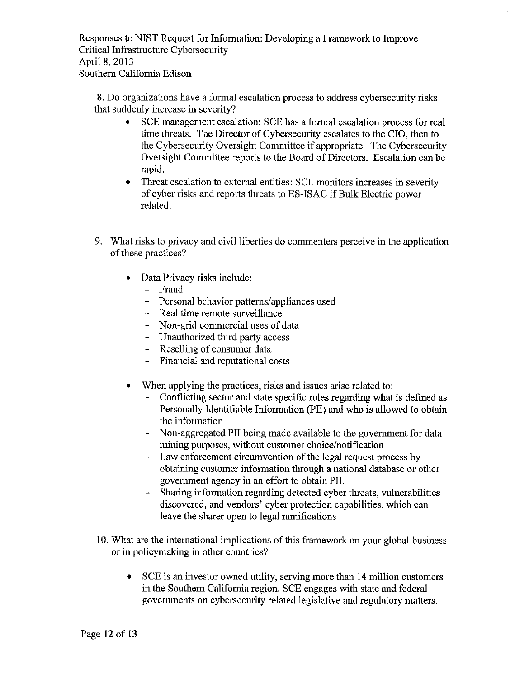Responses to NIST Request for Information: Developing a Framework to Improve Critical Infrastructure Cybersecurity April 8, 2013 Southern California Edison

8. Do organizations have a formal escalation process to address cybersecurity risks that suddenly increase in severity?

- SCE management escalation: SCE has a formal escalation process for real time threats. The Director of Cybersecurity escalates to the CIO, then to the Cybersecurity Oversight Committee if appropriate. The Cybersecurity Oversight Committee reports to the Board of Directors. Escalation can be rapid.
- Threat escalation to external entities: SCE monitors increases in severity of cyber risks and reports threats to ES-ISAC ifBulk Electric power related.
- 9. What risks to privacy and civil liberties do commenters perceive in the application of these practices?
	- Data Privacy risks include:
		- Fraud
		- Personal behavior patterns/appliances used
		- Real time remote surveillance
		- Non-grid commercial uses of data
		- Unauthorized third party access
		- Reselling of consumer data
		- Financial and reputational costs
	- When applying the practices, risks and issues arise related to:
		- Conflicting sector and state specific rules regarding what is defined as
		- Personally Identifiable Information (PII) and who is allowed to obtain the information
		- Non-aggregated PII being made available to the government for data  $\blacksquare$ mining purposes, without customer choice/notification
		- Law enforcement circumvention of the legal request process by obtaining customer information through a national database or other government agency in an effort to obtain PII.
		- Sharing information regarding detected cyber threats, vulnerabilities discovered, and vendors' cyber protection capabilities, which can leave the sharer open to legal ramifications
- I0. What are the international implications of this framework on your global business or in policymaking in other countries?
	- SCE is an investor owned utility, serving more than 14 million customers in the Southern California region. SCE engages with state and federal governments on cybersecurity related legislative and regulatory matters.

Page 12 of 13